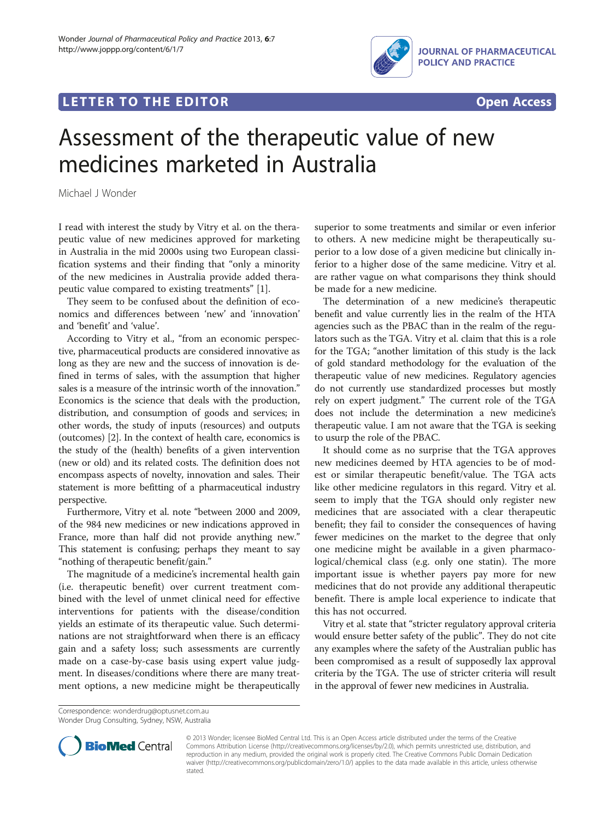## **LETTER TO THE EDITOR CONSIDERING ACCESS**



# Assessment of the therapeutic value of new medicines marketed in Australia

Michael J Wonder

I read with interest the study by Vitry et al. on the therapeutic value of new medicines approved for marketing in Australia in the mid 2000s using two European classification systems and their finding that "only a minority of the new medicines in Australia provide added therapeutic value compared to existing treatments" [[1\]](#page-1-0).

They seem to be confused about the definition of economics and differences between 'new' and 'innovation' and 'benefit' and 'value'.

According to Vitry et al., "from an economic perspective, pharmaceutical products are considered innovative as long as they are new and the success of innovation is defined in terms of sales, with the assumption that higher sales is a measure of the intrinsic worth of the innovation." Economics is the science that deals with the production, distribution, and consumption of goods and services; in other words, the study of inputs (resources) and outputs (outcomes) [\[2](#page-1-0)]. In the context of health care, economics is the study of the (health) benefits of a given intervention (new or old) and its related costs. The definition does not encompass aspects of novelty, innovation and sales. Their statement is more befitting of a pharmaceutical industry perspective.

Furthermore, Vitry et al. note "between 2000 and 2009, of the 984 new medicines or new indications approved in France, more than half did not provide anything new." This statement is confusing; perhaps they meant to say "nothing of therapeutic benefit/gain."

The magnitude of a medicine's incremental health gain (i.e. therapeutic benefit) over current treatment combined with the level of unmet clinical need for effective interventions for patients with the disease/condition yields an estimate of its therapeutic value. Such determinations are not straightforward when there is an efficacy gain and a safety loss; such assessments are currently made on a case-by-case basis using expert value judgment. In diseases/conditions where there are many treatment options, a new medicine might be therapeutically superior to some treatments and similar or even inferior to others. A new medicine might be therapeutically superior to a low dose of a given medicine but clinically inferior to a higher dose of the same medicine. Vitry et al. are rather vague on what comparisons they think should be made for a new medicine.

The determination of a new medicine's therapeutic benefit and value currently lies in the realm of the HTA agencies such as the PBAC than in the realm of the regulators such as the TGA. Vitry et al. claim that this is a role for the TGA; "another limitation of this study is the lack of gold standard methodology for the evaluation of the therapeutic value of new medicines. Regulatory agencies do not currently use standardized processes but mostly rely on expert judgment." The current role of the TGA does not include the determination a new medicine's therapeutic value. I am not aware that the TGA is seeking to usurp the role of the PBAC.

It should come as no surprise that the TGA approves new medicines deemed by HTA agencies to be of modest or similar therapeutic benefit/value. The TGA acts like other medicine regulators in this regard. Vitry et al. seem to imply that the TGA should only register new medicines that are associated with a clear therapeutic benefit; they fail to consider the consequences of having fewer medicines on the market to the degree that only one medicine might be available in a given pharmacological/chemical class (e.g. only one statin). The more important issue is whether payers pay more for new medicines that do not provide any additional therapeutic benefit. There is ample local experience to indicate that this has not occurred.

Vitry et al. state that "stricter regulatory approval criteria would ensure better safety of the public". They do not cite any examples where the safety of the Australian public has been compromised as a result of supposedly lax approval criteria by the TGA. The use of stricter criteria will result in the approval of fewer new medicines in Australia.

Correspondence: [wonderdrug@optusnet.com.au](mailto:wonderdrug@optusnet.com.au) Wonder Drug Consulting, Sydney, NSW, Australia



© 2013 Wonder; licensee BioMed Central Ltd. This is an Open Access article distributed under the terms of the Creative Commons Attribution License [\(http://creativecommons.org/licenses/by/2.0\)](http://creativecommons.org/licenses/by/2.0), which permits unrestricted use, distribution, and reproduction in any medium, provided the original work is properly cited. The Creative Commons Public Domain Dedication waiver [\(http://creativecommons.org/publicdomain/zero/1.0/\)](http://creativecommons.org/publicdomain/zero/1.0/) applies to the data made available in this article, unless otherwise stated.